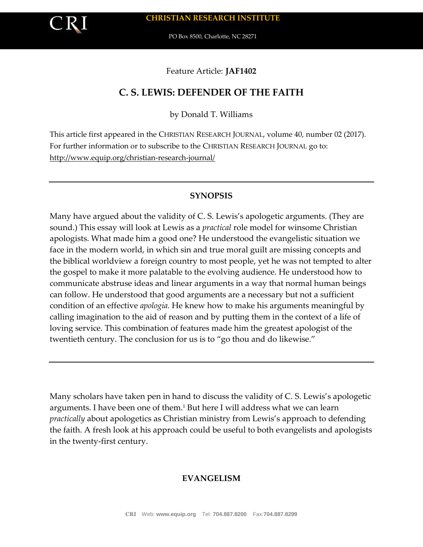Feature Article: **JAF1402**

# **C. S. LEWIS: DEFENDER OF THE FAITH**

by Donald T. Williams

This article first appeared in the CHRISTIAN RESEARCH JOURNAL, volume 40, number 02 (2017). For further information or to subscribe to the CHRISTIAN RESEARCH JOURNAL go to: <http://www.equip.org/christian-research-journal/>

### **SYNOPSIS**

Many have argued about the validity of C. S. Lewis's apologetic arguments. (They are sound.) This essay will look at Lewis as a *practical* role model for winsome Christian apologists. What made him a good one? He understood the evangelistic situation we face in the modern world, in which sin and true moral guilt are missing concepts and the biblical worldview a foreign country to most people, yet he was not tempted to alter the gospel to make it more palatable to the evolving audience. He understood how to communicate abstruse ideas and linear arguments in a way that normal human beings can follow. He understood that good arguments are a necessary but not a sufficient condition of an effective *apologia.* He knew how to make his arguments meaningful by calling imagination to the aid of reason and by putting them in the context of a life of loving service. This combination of features made him the greatest apologist of the twentieth century. The conclusion for us is to "go thou and do likewise."

Many scholars have taken pen in hand to discuss the validity of C. S. Lewis's apologetic arguments. I have been one of them.<sup>1</sup> But here I will address what we can learn *practically* about apologetics as Christian ministry from Lewis's approach to defending the faith. A fresh look at his approach could be useful to both evangelists and apologists in the twenty-first century.

### **EVANGELISM**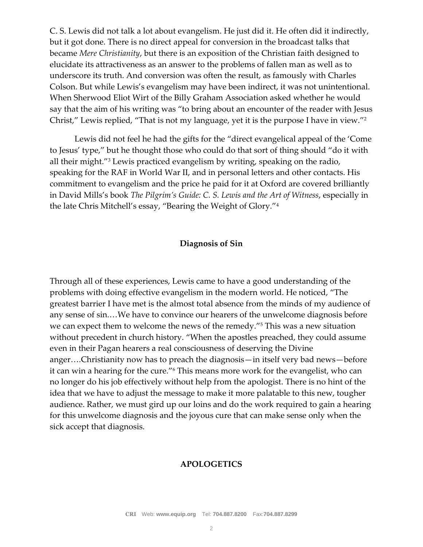C. S. Lewis did not talk a lot about evangelism. He just did it. He often did it indirectly, but it got done. There is no direct appeal for conversion in the broadcast talks that became *Mere Christianity*, but there is an exposition of the Christian faith designed to elucidate its attractiveness as an answer to the problems of fallen man as well as to underscore its truth. And conversion was often the result, as famously with Charles Colson. But while Lewis's evangelism may have been indirect, it was not unintentional. When Sherwood Eliot Wirt of the Billy Graham Association asked whether he would say that the aim of his writing was "to bring about an encounter of the reader with Jesus Christ," Lewis replied, "That is not my language, yet it is the purpose I have in view."<sup>2</sup>

Lewis did not feel he had the gifts for the "direct evangelical appeal of the 'Come to Jesus' type," but he thought those who could do that sort of thing should "do it with all their might."<sup>3</sup> Lewis practiced evangelism by writing, speaking on the radio, speaking for the RAF in World War II, and in personal letters and other contacts. His commitment to evangelism and the price he paid for it at Oxford are covered brilliantly in David Mills's book *The Pilgrim's Guide: C. S. Lewis and the Art of Witness*, especially in the late Chris Mitchell's essay, "Bearing the Weight of Glory."<sup>4</sup>

### **Diagnosis of Sin**

Through all of these experiences, Lewis came to have a good understanding of the problems with doing effective evangelism in the modern world. He noticed, "The greatest barrier I have met is the almost total absence from the minds of my audience of any sense of sin.…We have to convince our hearers of the unwelcome diagnosis before we can expect them to welcome the news of the remedy."<sup>5</sup> This was a new situation without precedent in church history. "When the apostles preached, they could assume even in their Pagan hearers a real consciousness of deserving the Divine anger….Christianity now has to preach the diagnosis—in itself very bad news—before it can win a hearing for the cure."<sup>6</sup> This means more work for the evangelist, who can no longer do his job effectively without help from the apologist. There is no hint of the idea that we have to adjust the message to make it more palatable to this new, tougher audience. Rather, we must gird up our loins and do the work required to gain a hearing for this unwelcome diagnosis and the joyous cure that can make sense only when the sick accept that diagnosis.

### **APOLOGETICS**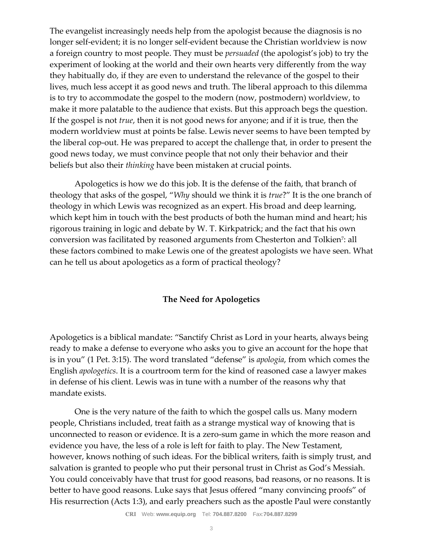The evangelist increasingly needs help from the apologist because the diagnosis is no longer self-evident; it is no longer self-evident because the Christian worldview is now a foreign country to most people. They must be *persuaded* (the apologist's job) to try the experiment of looking at the world and their own hearts very differently from the way they habitually do, if they are even to understand the relevance of the gospel to their lives, much less accept it as good news and truth. The liberal approach to this dilemma is to try to accommodate the gospel to the modern (now, postmodern) worldview, to make it more palatable to the audience that exists. But this approach begs the question. If the gospel is not *true*, then it is not good news for anyone; and if it is true, then the modern worldview must at points be false. Lewis never seems to have been tempted by the liberal cop-out. He was prepared to accept the challenge that, in order to present the good news today, we must convince people that not only their behavior and their beliefs but also their *thinking* have been mistaken at crucial points.

Apologetics is how we do this job. It is the defense of the faith, that branch of theology that asks of the gospel, "*Why* should we think it is *true*?" It is the one branch of theology in which Lewis was recognized as an expert. His broad and deep learning, which kept him in touch with the best products of both the human mind and heart; his rigorous training in logic and debate by W. T. Kirkpatrick; and the fact that his own conversion was facilitated by reasoned arguments from Chesterton and Tolkien<sup>7</sup>: all these factors combined to make Lewis one of the greatest apologists we have seen. What can he tell us about apologetics as a form of practical theology?

### **The Need for Apologetics**

Apologetics is a biblical mandate: "Sanctify Christ as Lord in your hearts, always being ready to make a defense to everyone who asks you to give an account for the hope that is in you" (1 Pet. 3:15). The word translated "defense" is *apologia*, from which comes the English *apologetics*. It is a courtroom term for the kind of reasoned case a lawyer makes in defense of his client. Lewis was in tune with a number of the reasons why that mandate exists.

One is the very nature of the faith to which the gospel calls us. Many modern people, Christians included, treat faith as a strange mystical way of knowing that is unconnected to reason or evidence. It is a zero-sum game in which the more reason and evidence you have, the less of a role is left for faith to play. The New Testament, however, knows nothing of such ideas. For the biblical writers, faith is simply trust, and salvation is granted to people who put their personal trust in Christ as God's Messiah. You could conceivably have that trust for good reasons, bad reasons, or no reasons. It is better to have good reasons. Luke says that Jesus offered "many convincing proofs" of His resurrection (Acts 1:3), and early preachers such as the apostle Paul were constantly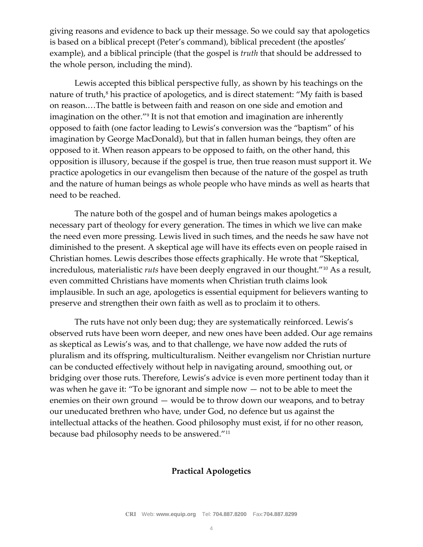giving reasons and evidence to back up their message. So we could say that apologetics is based on a biblical precept (Peter's command), biblical precedent (the apostles' example), and a biblical principle (that the gospel is *truth* that should be addressed to the whole person, including the mind).

Lewis accepted this biblical perspective fully, as shown by his teachings on the nature of truth, $\delta$  his practice of apologetics, and is direct statement: "My faith is based on reason.…The battle is between faith and reason on one side and emotion and imagination on the other."<sup>9</sup> It is not that emotion and imagination are inherently opposed to faith (one factor leading to Lewis's conversion was the "baptism" of his imagination by George MacDonald), but that in fallen human beings, they often are opposed to it. When reason appears to be opposed to faith, on the other hand, this opposition is illusory, because if the gospel is true, then true reason must support it. We practice apologetics in our evangelism then because of the nature of the gospel as truth and the nature of human beings as whole people who have minds as well as hearts that need to be reached.

The nature both of the gospel and of human beings makes apologetics a necessary part of theology for every generation. The times in which we live can make the need even more pressing. Lewis lived in such times, and the needs he saw have not diminished to the present. A skeptical age will have its effects even on people raised in Christian homes. Lewis describes those effects graphically. He wrote that "Skeptical, incredulous, materialistic *ruts* have been deeply engraved in our thought."<sup>10</sup> As a result, even committed Christians have moments when Christian truth claims look implausible. In such an age, apologetics is essential equipment for believers wanting to preserve and strengthen their own faith as well as to proclaim it to others.

The ruts have not only been dug; they are systematically reinforced. Lewis's observed ruts have been worn deeper, and new ones have been added. Our age remains as skeptical as Lewis's was, and to that challenge, we have now added the ruts of pluralism and its offspring, multiculturalism. Neither evangelism nor Christian nurture can be conducted effectively without help in navigating around, smoothing out, or bridging over those ruts. Therefore, Lewis's advice is even more pertinent today than it was when he gave it: "To be ignorant and simple now — not to be able to meet the enemies on their own ground — would be to throw down our weapons, and to betray our uneducated brethren who have, under God, no defence but us against the intellectual attacks of the heathen. Good philosophy must exist, if for no other reason, because bad philosophy needs to be answered."<sup>11</sup>

### **Practical Apologetics**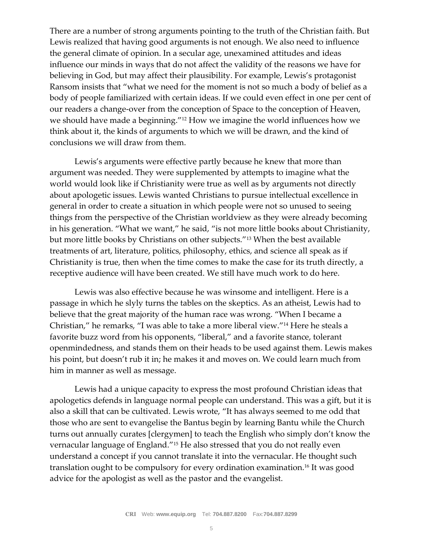There are a number of strong arguments pointing to the truth of the Christian faith. But Lewis realized that having good arguments is not enough. We also need to influence the general climate of opinion. In a secular age, unexamined attitudes and ideas influence our minds in ways that do not affect the validity of the reasons we have for believing in God, but may affect their plausibility. For example, Lewis's protagonist Ransom insists that "what we need for the moment is not so much a body of belief as a body of people familiarized with certain ideas. If we could even effect in one per cent of our readers a change-over from the conception of Space to the conception of Heaven, we should have made a beginning."<sup>12</sup> How we imagine the world influences how we think about it, the kinds of arguments to which we will be drawn, and the kind of conclusions we will draw from them.

Lewis's arguments were effective partly because he knew that more than argument was needed. They were supplemented by attempts to imagine what the world would look like if Christianity were true as well as by arguments not directly about apologetic issues. Lewis wanted Christians to pursue intellectual excellence in general in order to create a situation in which people were not so unused to seeing things from the perspective of the Christian worldview as they were already becoming in his generation. "What we want," he said, "is not more little books about Christianity, but more little books by Christians on other subjects."<sup>13</sup> When the best available treatments of art, literature, politics, philosophy, ethics, and science all speak as if Christianity is true, then when the time comes to make the case for its truth directly, a receptive audience will have been created. We still have much work to do here.

Lewis was also effective because he was winsome and intelligent. Here is a passage in which he slyly turns the tables on the skeptics. As an atheist, Lewis had to believe that the great majority of the human race was wrong. "When I became a Christian," he remarks, "I was able to take a more liberal view."<sup>14</sup> Here he steals a favorite buzz word from his opponents, "liberal," and a favorite stance, tolerant openmindedness, and stands them on their heads to be used against them. Lewis makes his point, but doesn't rub it in; he makes it and moves on. We could learn much from him in manner as well as message.

Lewis had a unique capacity to express the most profound Christian ideas that apologetics defends in language normal people can understand. This was a gift, but it is also a skill that can be cultivated. Lewis wrote, "It has always seemed to me odd that those who are sent to evangelise the Bantus begin by learning Bantu while the Church turns out annually curates [clergymen] to teach the English who simply don't know the vernacular language of England."<sup>15</sup> He also stressed that you do not really even understand a concept if you cannot translate it into the vernacular. He thought such translation ought to be compulsory for every ordination examination.<sup>16</sup> It was good advice for the apologist as well as the pastor and the evangelist.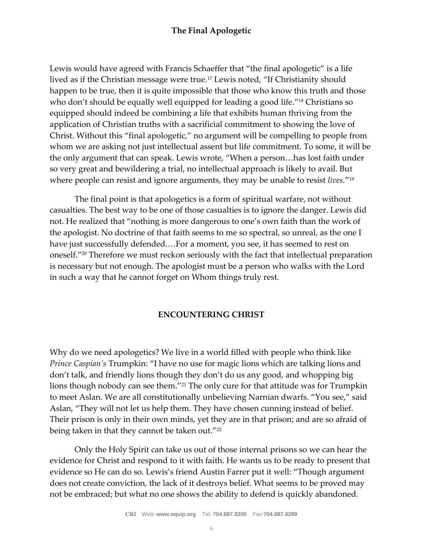## **The Final Apologetic**

Lewis would have agreed with Francis Schaeffer that "the final apologetic" is a life lived as if the Christian message were true.<sup>17</sup> Lewis noted, "If Christianity should happen to be true, then it is quite impossible that those who know this truth and those who don't should be equally well equipped for leading a good life."<sup>18</sup> Christians so equipped should indeed be combining a life that exhibits human thriving from the application of Christian truths with a sacrificial commitment to showing the love of Christ. Without this "final apologetic," no argument will be compelling to people from whom we are asking not just intellectual assent but life commitment. To some, it will be the only argument that can speak. Lewis wrote, "When a person…has lost faith under so very great and bewildering a trial, no intellectual approach is likely to avail. But where people can resist and ignore arguments, they may be unable to resist *lives.*" 19

The final point is that apologetics is a form of spiritual warfare, not without casualties. The best way to be one of those casualties is to ignore the danger. Lewis did not. He realized that "nothing is more dangerous to one's own faith than the work of the apologist. No doctrine of that faith seems to me so spectral, so unreal, as the one I have just successfully defended.…For a moment, you see, it has seemed to rest on oneself."<sup>20</sup> Therefore we must reckon seriously with the fact that intellectual preparation is necessary but not enough. The apologist must be a person who walks with the Lord in such a way that he cannot forget on Whom things truly rest.

### **ENCOUNTERING CHRIST**

Why do we need apologetics? We live in a world filled with people who think like *Prince Caspian's* Trumpkin: "I have no use for magic lions which are talking lions and don't talk, and friendly lions though they don't do us any good, and whopping big lions though nobody can see them."<sup>21</sup> The only cure for that attitude was for Trumpkin to meet Aslan. We are all constitutionally unbelieving Narnian dwarfs. "You see," said Aslan, "They will not let us help them. They have chosen cunning instead of belief. Their prison is only in their own minds, yet they are in that prison; and are so afraid of being taken in that they cannot be taken out."<sup>22</sup>

Only the Holy Spirit can take us out of those internal prisons so we can hear the evidence for Christ and respond to it with faith. He wants us to be ready to present that evidence so He can do so. Lewis's friend Austin Farrer put it well: "Though argument does not create conviction, the lack of it destroys belief. What seems to be proved may not be embraced; but what no one shows the ability to defend is quickly abandoned.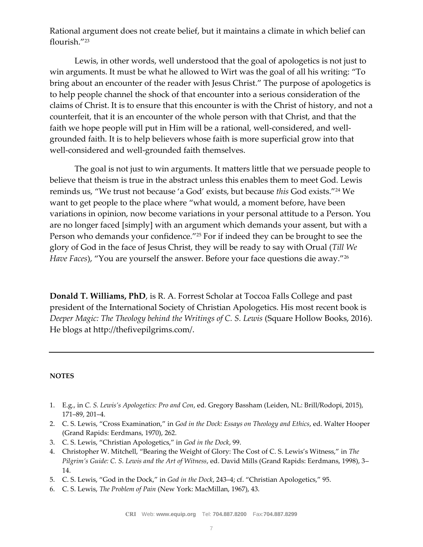Rational argument does not create belief, but it maintains a climate in which belief can flourish."<sup>23</sup>

Lewis, in other words, well understood that the goal of apologetics is not just to win arguments. It must be what he allowed to Wirt was the goal of all his writing: "To bring about an encounter of the reader with Jesus Christ." The purpose of apologetics is to help people channel the shock of that encounter into a serious consideration of the claims of Christ. It is to ensure that this encounter is with the Christ of history, and not a counterfeit, that it is an encounter of the whole person with that Christ, and that the faith we hope people will put in Him will be a rational, well-considered, and wellgrounded faith. It is to help believers whose faith is more superficial grow into that well-considered and well-grounded faith themselves.

The goal is not just to win arguments. It matters little that we persuade people to believe that theism is true in the abstract unless this enables them to meet God. Lewis reminds us, "We trust not because 'a God' exists, but because *this* God exists."<sup>24</sup> We want to get people to the place where "what would, a moment before, have been variations in opinion, now become variations in your personal attitude to a Person. You are no longer faced [simply] with an argument which demands your assent, but with a Person who demands your confidence."<sup>25</sup> For if indeed they can be brought to see the glory of God in the face of Jesus Christ, they will be ready to say with Orual (*Till We Have Faces*), "You are yourself the answer. Before your face questions die away."<sup>26</sup>

**Donald T. Williams, PhD**, is R. A. Forrest Scholar at Toccoa Falls College and past president of the International Society of Christian Apologetics. His most recent book is *Deeper Magic: The Theology behind the Writings of C. S. Lewis* (Square Hollow Books, 2016). He blogs at http://thefivepilgrims.com/.

### **NOTES**

- 1. E.g., in *C. S. Lewis's Apologetics: Pro and Con*, ed. Gregory Bassham (Leiden, NL: Brill/Rodopi, 2015), 171–89, 201–4.
- 2. C. S. Lewis, "Cross Examination," in *God in the Dock: Essays on Theology and Ethics*, ed. Walter Hooper (Grand Rapids: Eerdmans, 1970), 262.
- 3. C. S. Lewis, "Christian Apologetics," in *God in the Dock*, 99.
- 4. Christopher W. Mitchell, "Bearing the Weight of Glory: The Cost of C. S. Lewis's Witness," in *The Pilgrim's Guide: C. S. Lewis and the Art of Witness*, ed. David Mills (Grand Rapids: Eerdmans, 1998), 3– 14.
- 5. C. S. Lewis, "God in the Dock," in *God in the Dock*, 243–4; cf. "Christian Apologetics," 95.
- 6. C. S. Lewis, *The Problem of Pain* (New York: MacMillan, 1967), 43.